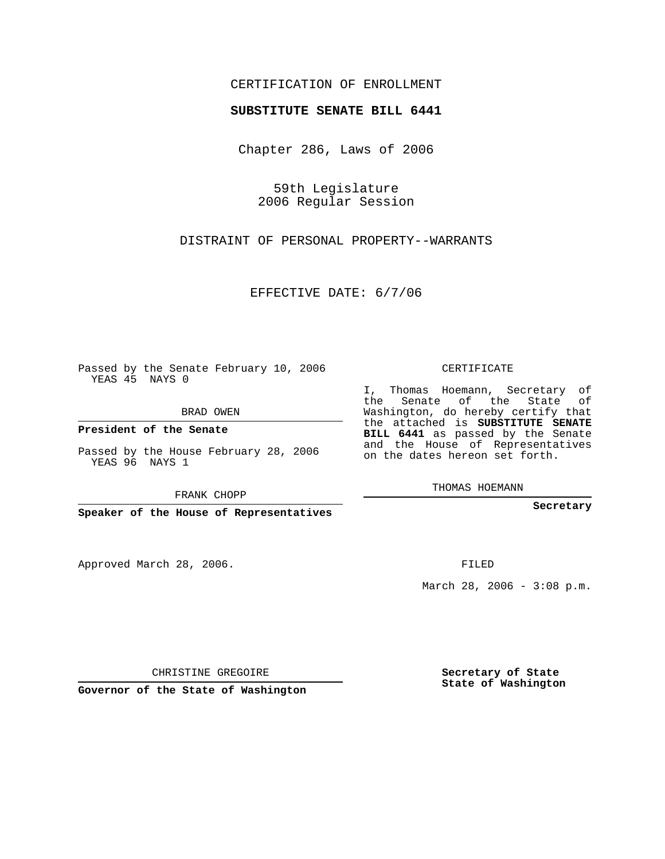## CERTIFICATION OF ENROLLMENT

## **SUBSTITUTE SENATE BILL 6441**

Chapter 286, Laws of 2006

59th Legislature 2006 Regular Session

DISTRAINT OF PERSONAL PROPERTY--WARRANTS

EFFECTIVE DATE: 6/7/06

Passed by the Senate February 10, 2006 YEAS 45 NAYS 0

BRAD OWEN

**President of the Senate**

Passed by the House February 28, 2006 YEAS 96 NAYS 1

FRANK CHOPP

**Speaker of the House of Representatives**

Approved March 28, 2006.

CERTIFICATE

I, Thomas Hoemann, Secretary of the Senate of the State of Washington, do hereby certify that the attached is **SUBSTITUTE SENATE BILL 6441** as passed by the Senate and the House of Representatives on the dates hereon set forth.

THOMAS HOEMANN

**Secretary**

FILED

March 28, 2006 - 3:08 p.m.

CHRISTINE GREGOIRE

**Governor of the State of Washington**

**Secretary of State State of Washington**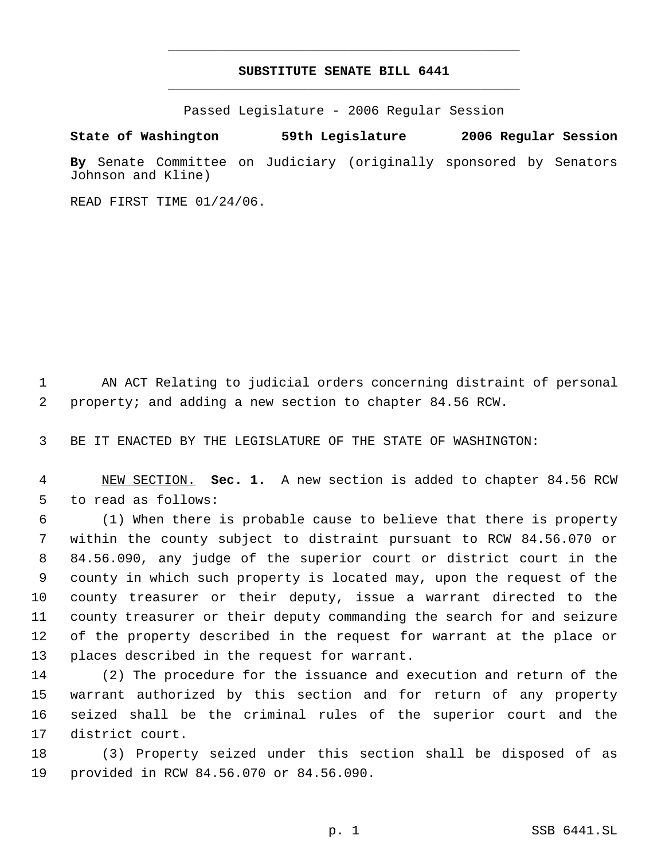## **SUBSTITUTE SENATE BILL 6441** \_\_\_\_\_\_\_\_\_\_\_\_\_\_\_\_\_\_\_\_\_\_\_\_\_\_\_\_\_\_\_\_\_\_\_\_\_\_\_\_\_\_\_\_\_

\_\_\_\_\_\_\_\_\_\_\_\_\_\_\_\_\_\_\_\_\_\_\_\_\_\_\_\_\_\_\_\_\_\_\_\_\_\_\_\_\_\_\_\_\_

Passed Legislature - 2006 Regular Session

## **State of Washington 59th Legislature 2006 Regular Session**

**By** Senate Committee on Judiciary (originally sponsored by Senators Johnson and Kline)

READ FIRST TIME 01/24/06.

 AN ACT Relating to judicial orders concerning distraint of personal property; and adding a new section to chapter 84.56 RCW.

BE IT ENACTED BY THE LEGISLATURE OF THE STATE OF WASHINGTON:

 NEW SECTION. **Sec. 1.** A new section is added to chapter 84.56 RCW to read as follows:

 (1) When there is probable cause to believe that there is property within the county subject to distraint pursuant to RCW 84.56.070 or 84.56.090, any judge of the superior court or district court in the county in which such property is located may, upon the request of the county treasurer or their deputy, issue a warrant directed to the county treasurer or their deputy commanding the search for and seizure of the property described in the request for warrant at the place or places described in the request for warrant.

 (2) The procedure for the issuance and execution and return of the warrant authorized by this section and for return of any property seized shall be the criminal rules of the superior court and the district court.

 (3) Property seized under this section shall be disposed of as provided in RCW 84.56.070 or 84.56.090.